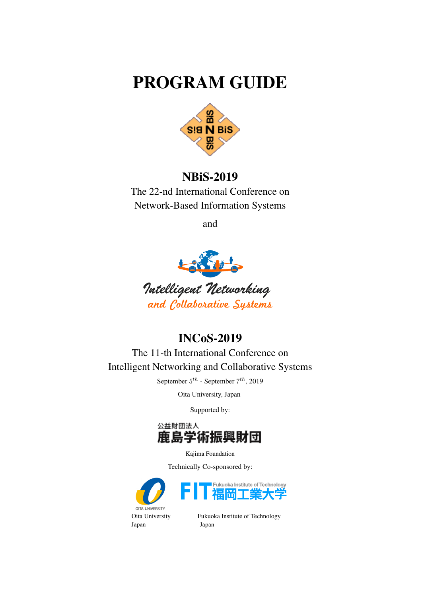## PROGRAM GUIDE



## NBiS-2019

The 22-nd International Conference on Network-Based Information Systems

and



## INCoS-2019

The 11-th International Conference on Intelligent Networking and Collaborative Systems

September 5 *th* - September 7 *th*, 2019

Oita University, Japan

Supported by:



Kajima Foundation

Technically Co-sponsored by:



Oita University Fukuoka Institute of Technology Japan Japan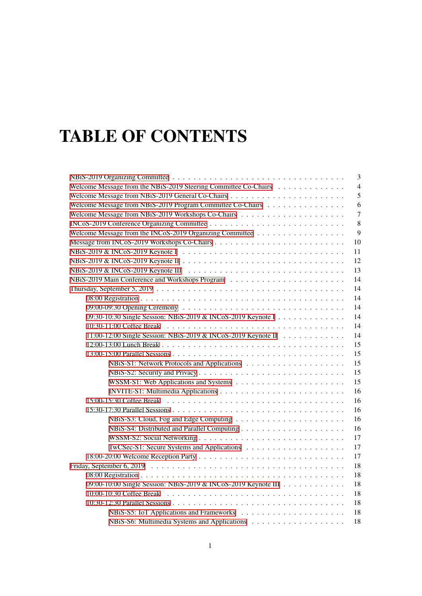# TABLE OF CONTENTS

| 3                                                                                                                     |
|-----------------------------------------------------------------------------------------------------------------------|
| Welcome Message from the NBiS-2019 Steering Committee Co-Chairs<br>$\overline{4}$                                     |
| 5                                                                                                                     |
| Welcome Message from NBiS-2019 Program Committee Co-Chairs<br>6                                                       |
| $\overline{7}$                                                                                                        |
| 8                                                                                                                     |
| 9                                                                                                                     |
| 10                                                                                                                    |
| NBiS-2019 & INCoS-2019 Keynote I $\ldots \ldots \ldots \ldots \ldots \ldots \ldots \ldots \ldots \ldots \ldots$<br>11 |
| 12                                                                                                                    |
| NBiS-2019 & INCoS-2019 Keynote III $\ldots \ldots \ldots \ldots \ldots \ldots \ldots \ldots \ldots \ldots$<br>13      |
| 14                                                                                                                    |
| 14                                                                                                                    |
| 14                                                                                                                    |
| 14                                                                                                                    |
| 09:30-10:30 Single Session: NBiS-2019 & INCoS-2019 Keynote I<br>14                                                    |
| 14                                                                                                                    |
| 11:00-12:00 Single Session: NBiS-2019 & INCoS-2019 Keynote II<br>14                                                   |
| 15                                                                                                                    |
| 15                                                                                                                    |
| 15                                                                                                                    |
| 15                                                                                                                    |
| 15                                                                                                                    |
| 16                                                                                                                    |
| 15:00-15:30 Coffee Break<br>16                                                                                        |
| 16                                                                                                                    |
| 16                                                                                                                    |
| 16                                                                                                                    |
| 17                                                                                                                    |
| 17                                                                                                                    |
| 17                                                                                                                    |
| 18                                                                                                                    |
| 18                                                                                                                    |
| 09:00-10:00 Single Session: NBiS-2019 & INCoS-2019 Keynote III<br>18                                                  |
| 18                                                                                                                    |
| 18                                                                                                                    |
| 18                                                                                                                    |
| 18                                                                                                                    |
|                                                                                                                       |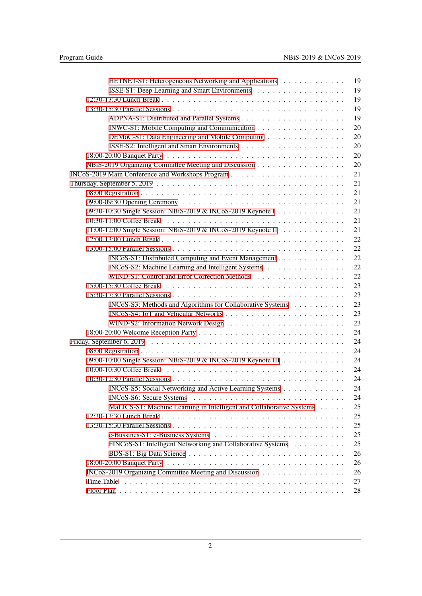| HETNET-S1: Heterogeneous Networking and Applications                 | 19 |
|----------------------------------------------------------------------|----|
| ISSE-S1: Deep Learning and Smart Environments                        | 19 |
|                                                                      | 19 |
|                                                                      | 19 |
|                                                                      | 19 |
| INWC-S1: Mobile Computing and Communication                          | 20 |
| DEMoC-S1: Data Engineering and Mobile Computing                      | 20 |
|                                                                      | 20 |
|                                                                      | 20 |
| NBiS-2019 Organizing Committee Meeting and Discussion                | 20 |
|                                                                      | 21 |
|                                                                      | 21 |
|                                                                      | 21 |
|                                                                      | 21 |
| 09:30-10:30 Single Session: NBiS-2019 & INCoS-2019 Keynote I         | 21 |
|                                                                      | 21 |
| 11:00-12:00 Single Session: NBiS-2019 & INCoS-2019 Keynote II        | 21 |
|                                                                      | 22 |
|                                                                      | 22 |
| INCoS-S1: Distributed Computing and Event Management                 | 22 |
| INCoS-S2: Machine Learning and Intelligent Systems                   | 22 |
| WIND-S1: Control and Error Correction Methods                        | 22 |
|                                                                      | 23 |
|                                                                      | 23 |
| INCoS-S3: Methods and Algorithms for Collaborative Systems           | 23 |
|                                                                      | 23 |
|                                                                      | 23 |
|                                                                      | 24 |
|                                                                      | 24 |
|                                                                      | 24 |
| 09:00-10:00 Single Session: NBiS-2019 & INCoS-2019 Keynote III       | 24 |
|                                                                      | 24 |
|                                                                      | 24 |
| INCoS-S5: Social Networking and Active Learning Systems              | 24 |
|                                                                      | 24 |
| MaLICS-S1: Machine Learning in Intelligent and Collaborative Systems | 25 |
|                                                                      | 25 |
|                                                                      | 25 |
|                                                                      | 25 |
| FINCoS-S1: Intelligent Networking and Collaborative Systems          | 25 |
|                                                                      | 26 |
|                                                                      | 26 |
| INCoS-2019 Organizing Committee Meeting and Discussion               | 26 |
| Time Table                                                           | 27 |
|                                                                      | 28 |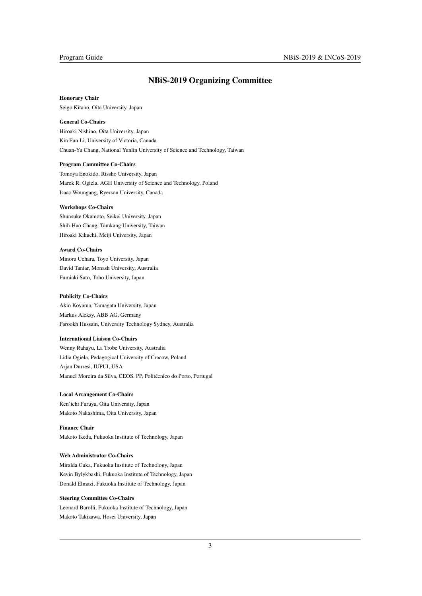## <span id="page-3-0"></span>NBiS-2019 Organizing Committee

#### Honorary Chair

Seigo Kitano, Oita University, Japan

#### General Co-Chairs

Hiroaki Nishino, Oita University, Japan Kin Fun Li, University of Victoria, Canada Chuan-Yu Chang, National Yunlin University of Science and Technology, Taiwan

#### Program Committee Co-Chairs

Tomoya Enokido, Rissho University, Japan Marek R. Ogiela, AGH University of Science and Technology, Poland Isaac Woungang, Ryerson University, Canada

### Workshops Co-Chairs

Shunsuke Okamoto, Seikei University, Japan Shih-Hao Chang, Tamkang University, Taiwan Hiroaki Kikuchi, Meiji University, Japan

#### Award Co-Chairs

Minoru Uehara, Toyo University, Japan David Taniar, Monash University, Australia Fumiaki Sato, Toho University, Japan

#### Publicity Co-Chairs

Akio Koyama, Yamagata University, Japan Markus Aleksy, ABB AG, Germany Farookh Hussain, University Technology Sydney, Australia

#### International Liaison Co-Chairs

Wenny Rahayu, La Trobe University, Australia Lidia Ogiela, Pedagogical University of Cracow, Poland Arjan Durresi, IUPUI, USA Manuel Moreira da Silva, CEOS. PP, Politécnico do Porto, Portugal

#### Local Arrangement Co-Chairs

Ken'ichi Furuya, Oita University, Japan Makoto Nakashima, Oita University, Japan

#### Finance Chair

Makoto Ikeda, Fukuoka Institute of Technology, Japan

#### Web Administrator Co-Chairs

Miralda Cuka, Fukuoka Institute of Technology, Japan Kevin Bylykbashi, Fukuoka Institute of Technology, Japan Donald Elmazi, Fukuoka Institute of Technology, Japan

#### Steering Committee Co-Chairs

Leonard Barolli, Fukuoka Institute of Technology, Japan Makoto Takizawa, Hosei University, Japan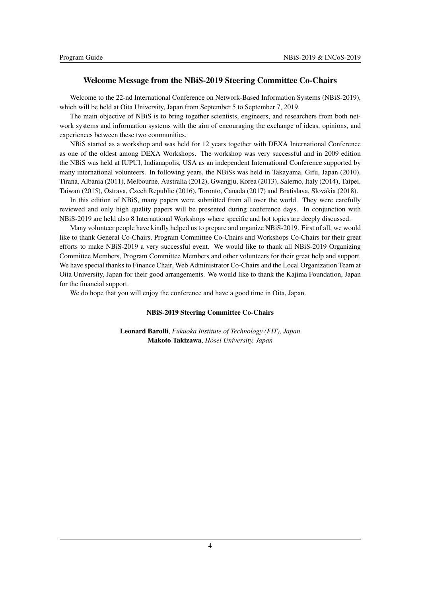## <span id="page-4-0"></span>Welcome Message from the NBiS-2019 Steering Committee Co-Chairs

Welcome to the 22-nd International Conference on Network-Based Information Systems (NBiS-2019), which will be held at Oita University, Japan from September 5 to September 7, 2019.

The main objective of NBiS is to bring together scientists, engineers, and researchers from both network systems and information systems with the aim of encouraging the exchange of ideas, opinions, and experiences between these two communities.

NBiS started as a workshop and was held for 12 years together with DEXA International Conference as one of the oldest among DEXA Workshops. The workshop was very successful and in 2009 edition the NBiS was held at IUPUI, Indianapolis, USA as an independent International Conference supported by many international volunteers. In following years, the NBiSs was held in Takayama, Gifu, Japan (2010), Tirana, Albania (2011), Melbourne, Australia (2012), Gwangju, Korea (2013), Salerno, Italy (2014), Taipei, Taiwan (2015), Ostrava, Czech Republic (2016), Toronto, Canada (2017) and Bratislava, Slovakia (2018).

In this edition of NBiS, many papers were submitted from all over the world. They were carefully reviewed and only high quality papers will be presented during conference days. In conjunction with NBiS-2019 are held also 8 International Workshops where specific and hot topics are deeply discussed.

Many volunteer people have kindly helped us to prepare and organize NBiS-2019. First of all, we would like to thank General Co-Chairs, Program Committee Co-Chairs and Workshops Co-Chairs for their great efforts to make NBiS-2019 a very successful event. We would like to thank all NBiS-2019 Organizing Committee Members, Program Committee Members and other volunteers for their great help and support. We have special thanks to Finance Chair, Web Administrator Co-Chairs and the Local Organization Team at Oita University, Japan for their good arrangements. We would like to thank the Kajima Foundation, Japan for the financial support.

We do hope that you will enjoy the conference and have a good time in Oita, Japan.

#### NBiS-2019 Steering Committee Co-Chairs

Leonard Barolli, *Fukuoka Institute of Technology (FIT), Japan* Makoto Takizawa, *Hosei University, Japan*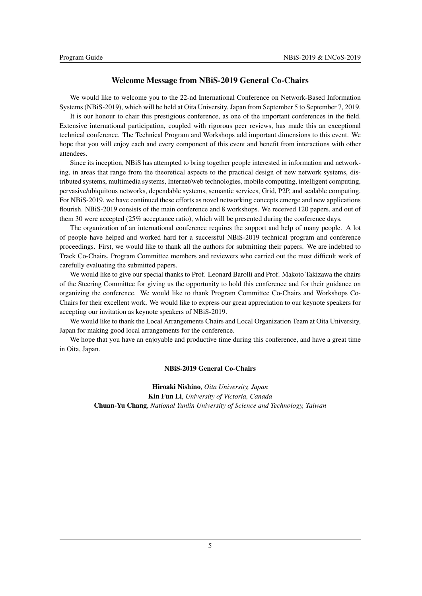## <span id="page-5-0"></span>Welcome Message from NBiS-2019 General Co-Chairs

We would like to welcome you to the 22-nd International Conference on Network-Based Information Systems (NBiS-2019), which will be held at Oita University, Japan from September 5 to September 7, 2019.

It is our honour to chair this prestigious conference, as one of the important conferences in the field. Extensive international participation, coupled with rigorous peer reviews, has made this an exceptional technical conference. The Technical Program and Workshops add important dimensions to this event. We hope that you will enjoy each and every component of this event and benefit from interactions with other attendees.

Since its inception, NBiS has attempted to bring together people interested in information and networking, in areas that range from the theoretical aspects to the practical design of new network systems, distributed systems, multimedia systems, Internet/web technologies, mobile computing, intelligent computing, pervasive/ubiquitous networks, dependable systems, semantic services, Grid, P2P, and scalable computing. For NBiS-2019, we have continued these efforts as novel networking concepts emerge and new applications flourish. NBiS-2019 consists of the main conference and 8 workshops. We received 120 papers, and out of them 30 were accepted (25% acceptance ratio), which will be presented during the conference days.

The organization of an international conference requires the support and help of many people. A lot of people have helped and worked hard for a successful NBiS-2019 technical program and conference proceedings. First, we would like to thank all the authors for submitting their papers. We are indebted to Track Co-Chairs, Program Committee members and reviewers who carried out the most difficult work of carefully evaluating the submitted papers.

We would like to give our special thanks to Prof. Leonard Barolli and Prof. Makoto Takizawa the chairs of the Steering Committee for giving us the opportunity to hold this conference and for their guidance on organizing the conference. We would like to thank Program Committee Co-Chairs and Workshops Co-Chairs for their excellent work. We would like to express our great appreciation to our keynote speakers for accepting our invitation as keynote speakers of NBiS-2019.

We would like to thank the Local Arrangements Chairs and Local Organization Team at Oita University, Japan for making good local arrangements for the conference.

We hope that you have an enjoyable and productive time during this conference, and have a great time in Oita, Japan.

### NBiS-2019 General Co-Chairs

Hiroaki Nishino, *Oita University, Japan* Kin Fun Li, *University of Victoria, Canada* Chuan-Yu Chang, *National Yunlin University of Science and Technology, Taiwan*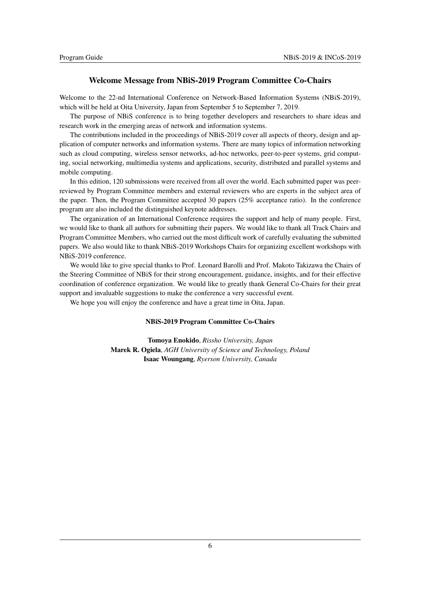## <span id="page-6-0"></span>Welcome Message from NBiS-2019 Program Committee Co-Chairs

Welcome to the 22-nd International Conference on Network-Based Information Systems (NBiS-2019), which will be held at Oita University, Japan from September 5 to September 7, 2019.

The purpose of NBiS conference is to bring together developers and researchers to share ideas and research work in the emerging areas of network and information systems.

The contributions included in the proceedings of NBiS-2019 cover all aspects of theory, design and application of computer networks and information systems. There are many topics of information networking such as cloud computing, wireless sensor networks, ad-hoc networks, peer-to-peer systems, grid computing, social networking, multimedia systems and applications, security, distributed and parallel systems and mobile computing.

In this edition, 120 submissions were received from all over the world. Each submitted paper was peerreviewed by Program Committee members and external reviewers who are experts in the subject area of the paper. Then, the Program Committee accepted 30 papers (25% acceptance ratio). In the conference program are also included the distinguished keynote addresses.

The organization of an International Conference requires the support and help of many people. First, we would like to thank all authors for submitting their papers. We would like to thank all Track Chairs and Program Committee Members, who carried out the most difficult work of carefully evaluating the submitted papers. We also would like to thank NBiS-2019 Workshops Chairs for organizing excellent workshops with NBiS-2019 conference.

We would like to give special thanks to Prof. Leonard Barolli and Prof. Makoto Takizawa the Chairs of the Steering Committee of NBiS for their strong encouragement, guidance, insights, and for their effective coordination of conference organization. We would like to greatly thank General Co-Chairs for their great support and invaluable suggestions to make the conference a very successful event.

We hope you will enjoy the conference and have a great time in Oita, Japan.

### NBiS-2019 Program Committee Co-Chairs

Tomoya Enokido, *Rissho University, Japan* Marek R. Ogiela, *AGH University of Science and Technology, Poland* Isaac Woungang, *Ryerson University, Canada*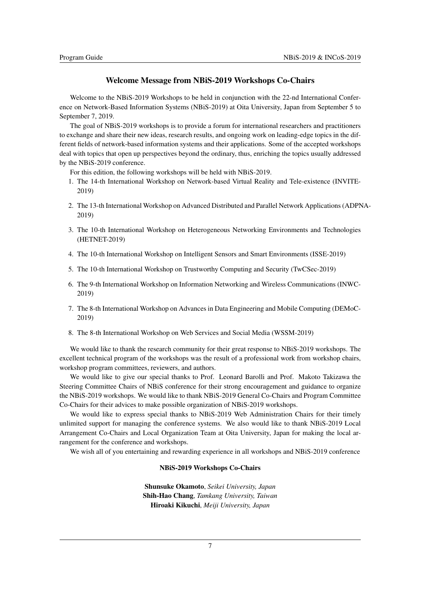## <span id="page-7-0"></span>Welcome Message from NBiS-2019 Workshops Co-Chairs

Welcome to the NBiS-2019 Workshops to be held in conjunction with the 22-nd International Conference on Network-Based Information Systems (NBiS-2019) at Oita University, Japan from September 5 to September 7, 2019.

The goal of NBiS-2019 workshops is to provide a forum for international researchers and practitioners to exchange and share their new ideas, research results, and ongoing work on leading-edge topics in the different fields of network-based information systems and their applications. Some of the accepted workshops deal with topics that open up perspectives beyond the ordinary, thus, enriching the topics usually addressed by the NBiS-2019 conference.

For this edition, the following workshops will be held with NBiS-2019.

- 1. The 14-th International Workshop on Network-based Virtual Reality and Tele-existence (INVITE-2019)
- 2. The 13-th International Workshop on Advanced Distributed and Parallel Network Applications (ADPNA-2019)
- 3. The 10-th International Workshop on Heterogeneous Networking Environments and Technologies (HETNET-2019)
- 4. The 10-th International Workshop on Intelligent Sensors and Smart Environments (ISSE-2019)
- 5. The 10-th International Workshop on Trustworthy Computing and Security (TwCSec-2019)
- 6. The 9-th International Workshop on Information Networking and Wireless Communications (INWC-2019)
- 7. The 8-th International Workshop on Advances in Data Engineering and Mobile Computing (DEMoC-2019)
- 8. The 8-th International Workshop on Web Services and Social Media (WSSM-2019)

We would like to thank the research community for their great response to NBiS-2019 workshops. The excellent technical program of the workshops was the result of a professional work from workshop chairs, workshop program committees, reviewers, and authors.

We would like to give our special thanks to Prof. Leonard Barolli and Prof. Makoto Takizawa the Steering Committee Chairs of NBiS conference for their strong encouragement and guidance to organize the NBiS-2019 workshops. We would like to thank NBiS-2019 General Co-Chairs and Program Committee Co-Chairs for their advices to make possible organization of NBiS-2019 workshops.

We would like to express special thanks to NBiS-2019 Web Administration Chairs for their timely unlimited support for managing the conference systems. We also would like to thank NBiS-2019 Local Arrangement Co-Chairs and Local Organization Team at Oita University, Japan for making the local arrangement for the conference and workshops.

We wish all of you entertaining and rewarding experience in all workshops and NBiS-2019 conference

## NBiS-2019 Workshops Co-Chairs

Shunsuke Okamoto, *Seikei University, Japan* Shih-Hao Chang, *Tamkang University, Taiwan* Hiroaki Kikuchi, *Meiji University, Japan*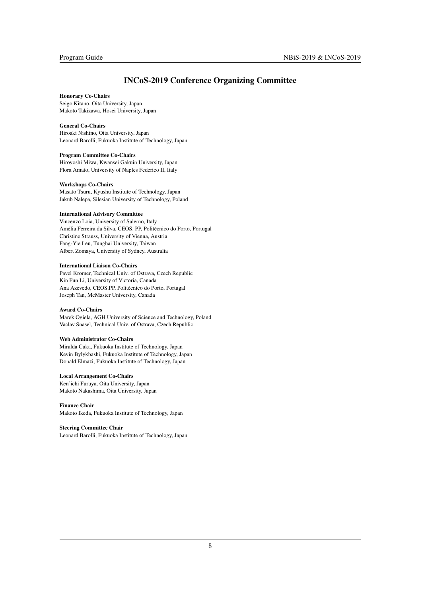## <span id="page-8-0"></span>INCoS-2019 Conference Organizing Committee

#### Honorary Co-Chairs

Seigo Kitano, Oita University, Japan Makoto Takizawa, Hosei University, Japan

#### General Co-Chairs

Hiroaki Nishino, Oita University, Japan Leonard Barolli, Fukuoka Institute of Technology, Japan

#### Program Committee Co-Chairs

Hiroyoshi Miwa, Kwansei Gakuin University, Japan Flora Amato, University of Naples Federico II, Italy

#### Workshops Co-Chairs

Masato Tsuru, Kyushu Institute of Technology, Japan Jakub Nalepa, Silesian University of Technology, Poland

#### International Advisory Committee

Vincenzo Loia, University of Salerno, Italy Amélia Ferreira da Silva, CEOS. PP, Politécnico do Porto, Portugal Christine Strauss, University of Vienna, Austria Fang-Yie Leu, Tunghai University, Taiwan Albert Zomaya, University of Sydney, Australia

#### International Liaison Co-Chairs

Pavel Kromer, Technical Univ. of Ostrava, Czech Republic Kin Fun Li, University of Victoria, Canada Ana Azevedo, CEOS.PP, Politécnico do Porto, Portugal Joseph Tan, McMaster University, Canada

#### Award Co-Chairs

Marek Ogiela, AGH University of Science and Technology, Poland Vaclav Snasel, Technical Univ. of Ostrava, Czech Republic

#### Web Administrator Co-Chairs

Miralda Cuka, Fukuoka Institute of Technology, Japan Kevin Bylykbashi, Fukuoka Institute of Technology, Japan Donald Elmazi, Fukuoka Institute of Technology, Japan

#### Local Arrangement Co-Chairs

Ken'ichi Furuya, Oita University, Japan Makoto Nakashima, Oita University, Japan

Finance Chair

Makoto Ikeda, Fukuoka Institute of Technology, Japan

#### Steering Committee Chair

Leonard Barolli, Fukuoka Institute of Technology, Japan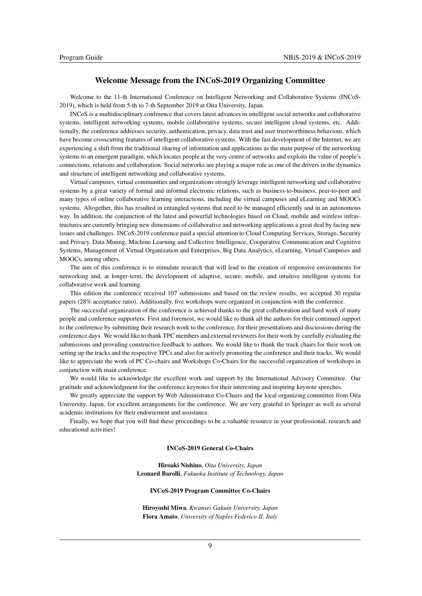## <span id="page-9-0"></span>Welcome Message from the INCoS-2019 Organizing Committee

Welcome to the 11-th International Conference on Intelligent Networking and Collaborative Systems (INCoS-2019), which is held from 5-th to 7-th September 2019 at Oita University, Japan.

INCoS is a multidisciplinary conference that covers latest advances in intelligent social networks and collaborative systems, intelligent networking systems, mobile collaborative systems, secure intelligent cloud systems, etc. Additionally, the conference addresses security, authentication, privacy, data trust and user trustworthiness behaviour, which have become crosscutting features of intelligent collaborative systems. With the fast development of the Internet, we are experiencing a shift from the traditional sharing of information and applications as the main purpose of the networking systems to an emergent paradigm, which locates people at the very centre of networks and exploits the value of people's connections, relations and collaboration. Social networks are playing a major role as one of the drivers in the dynamics and structure of intelligent networking and collaborative systems.

Virtual campuses, virtual communities and organizations strongly leverage intelligent networking and collaborative systems by a great variety of formal and informal electronic relations, such as business-to-business, peer-to-peer and many types of online collaborative learning interactions, including the virtual campuses and eLearning and MOOCs systems. Altogether, this has resulted in entangled systems that need to be managed efficiently and in an autonomous way. In addition, the conjunction of the latest and powerful technologies based on Cloud, mobile and wireless infrastructures are currently bringing new dimensions of collaborative and networking applications a great deal by facing new issues and challenges. INCoS-2019 conference paid a special attention to Cloud Computing Services, Storage, Security and Privacy, Data Mining, Machine Learning and Collective Intelligence, Cooperative Communication and Cognitive Systems, Management of Virtual Organization and Enterprises, Big Data Analytics, eLearning, Virtual Campuses and MOOCs, among others.

The aim of this conference is to stimulate research that will lead to the creation of responsive environments for networking and, at longer-term, the development of adaptive, secure, mobile, and intuitive intelligent systems for collaborative work and learning.

This edition the conference received 107 submissions and based on the review results, we accepted 30 regular papers (28% acceptance ratio). Additionally, five workshops were organized in conjunction with the conference.

The successful organization of the conference is achieved thanks to the great collaboration and hard work of many people and conference supporters. First and foremost, we would like to thank all the authors for their continued support to the conference by submitting their research work to the conference, for their presentations and discussions during the conference days. We would like to thank TPC members and external reviewers for their work by carefully evaluating the submissions and providing constructive feedback to authors. We would like to thank the track chairs for their work on setting up the tracks and the respective TPCs and also for actively promoting the conference and their tracks. We would like to appreciate the work of PC Co-chairs and Workshops Co-Chairs for the successful organization of workshops in conjunction with main conference.

We would like to acknowledge the excellent work and support by the International Advisory Committee. Our gratitude and acknowledgment for the conference keynotes for their interesting and inspiring keynote speeches.

We greatly appreciate the support by Web Administrator Co-Chairs and the local organizing committee from Oita University, Japan, for excellent arrangements for the conference. We are very grateful to Springer as well as several academic institutions for their endorsement and assistance.

Finally, we hope that you will find these proceedings to be a valuable resource in your professional, research and educational activities!

#### INCoS-2019 General Co-Chairs

Hiroaki Nishino, *Oita University, Japan* Leonard Barolli, *Fukuoka Institute of Technology, Japan*

#### INCoS-2019 Program Committee Co-Chairs

Hiroyoshi Miwa, *Kwansei Gakuin University, Japan* Flora Amato, *University of Naples Federico II, Italy*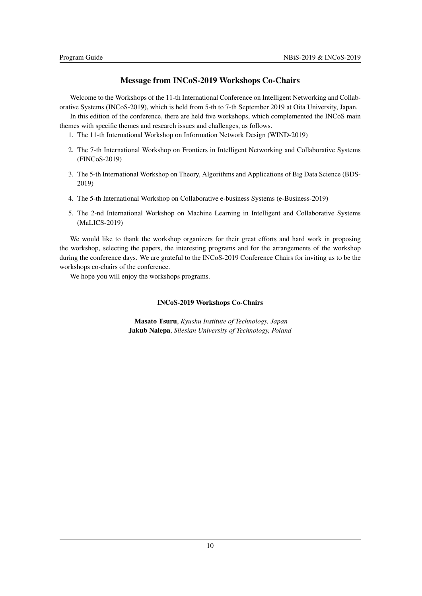## <span id="page-10-0"></span>Message from INCoS-2019 Workshops Co-Chairs

Welcome to the Workshops of the 11-th International Conference on Intelligent Networking and Collaborative Systems (INCoS-2019), which is held from 5-th to 7-th September 2019 at Oita University, Japan.

In this edition of the conference, there are held five workshops, which complemented the INCoS main themes with specific themes and research issues and challenges, as follows.

- 1. The 11-th International Workshop on Information Network Design (WIND-2019)
- 2. The 7-th International Workshop on Frontiers in Intelligent Networking and Collaborative Systems (FINCoS-2019)
- 3. The 5-th International Workshop on Theory, Algorithms and Applications of Big Data Science (BDS-2019)
- 4. The 5-th International Workshop on Collaborative e-business Systems (e-Business-2019)
- 5. The 2-nd International Workshop on Machine Learning in Intelligent and Collaborative Systems (MaLICS-2019)

We would like to thank the workshop organizers for their great efforts and hard work in proposing the workshop, selecting the papers, the interesting programs and for the arrangements of the workshop during the conference days. We are grateful to the INCoS-2019 Conference Chairs for inviting us to be the workshops co-chairs of the conference.

We hope you will enjoy the workshops programs.

## INCoS-2019 Workshops Co-Chairs

Masato Tsuru, *Kyushu Institute of Technology, Japan* Jakub Nalepa, *Silesian University of Technology, Poland*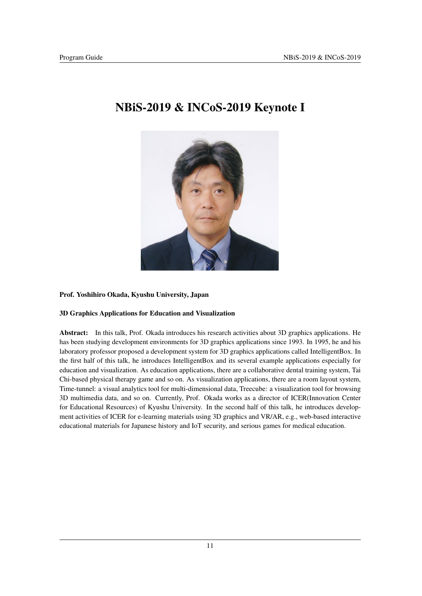## <span id="page-11-0"></span>NBiS-2019 & INCoS-2019 Keynote I

## Prof. Yoshihiro Okada, Kyushu University, Japan

## 3D Graphics Applications for Education and Visualization

Abstract: In this talk, Prof. Okada introduces his research activities about 3D graphics applications. He has been studying development environments for 3D graphics applications since 1993. In 1995, he and his laboratory professor proposed a development system for 3D graphics applications called IntelligentBox. In the first half of this talk, he introduces IntelligentBox and its several example applications especially for education and visualization. As education applications, there are a collaborative dental training system, Tai Chi-based physical therapy game and so on. As visualization applications, there are a room layout system, Time-tunnel: a visual analytics tool for multi-dimensional data, Treecube: a visualization tool for browsing 3D multimedia data, and so on. Currently, Prof. Okada works as a director of ICER(Innovation Center for Educational Resources) of Kyushu University. In the second half of this talk, he introduces development activities of ICER for e-learning materials using 3D graphics and VR/AR, e.g., web-based interactive educational materials for Japanese history and IoT security, and serious games for medical education.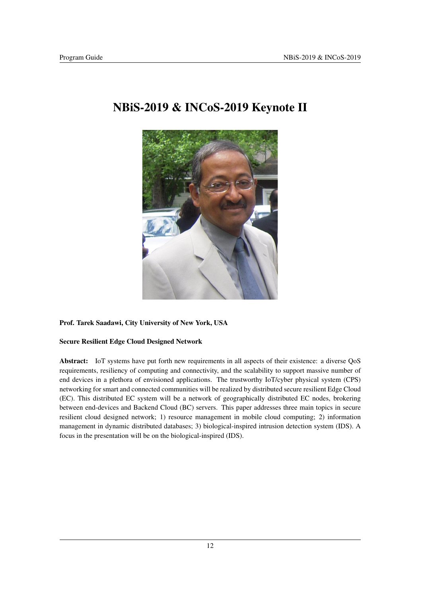

## <span id="page-12-0"></span>NBiS-2019 & INCoS-2019 Keynote II

## Prof. Tarek Saadawi, City University of New York, USA

## Secure Resilient Edge Cloud Designed Network

Abstract: IoT systems have put forth new requirements in all aspects of their existence: a diverse QoS requirements, resiliency of computing and connectivity, and the scalability to support massive number of end devices in a plethora of envisioned applications. The trustworthy IoT/cyber physical system (CPS) networking for smart and connected communities will be realized by distributed secure resilient Edge Cloud (EC). This distributed EC system will be a network of geographically distributed EC nodes, brokering between end-devices and Backend Cloud (BC) servers. This paper addresses three main topics in secure resilient cloud designed network; 1) resource management in mobile cloud computing; 2) information management in dynamic distributed databases; 3) biological-inspired intrusion detection system (IDS). A focus in the presentation will be on the biological-inspired (IDS).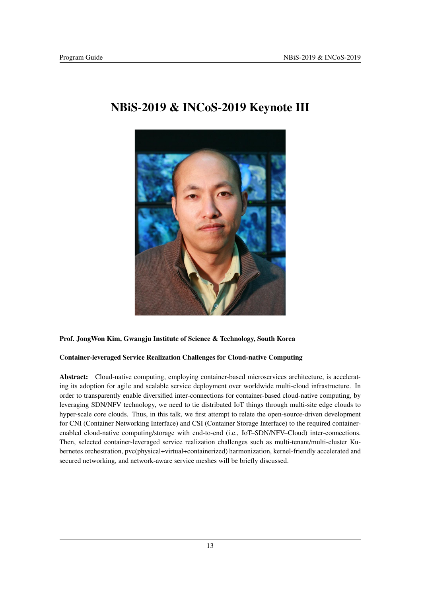## <span id="page-13-0"></span>NBiS-2019 & INCoS-2019 Keynote III



## Prof. JongWon Kim, Gwangju Institute of Science & Technology, South Korea

## Container-leveraged Service Realization Challenges for Cloud-native Computing

Abstract: Cloud-native computing, employing container-based microservices architecture, is accelerating its adoption for agile and scalable service deployment over worldwide multi-cloud infrastructure. In order to transparently enable diversified inter-connections for container-based cloud-native computing, by leveraging SDN/NFV technology, we need to tie distributed IoT things through multi-site edge clouds to hyper-scale core clouds. Thus, in this talk, we first attempt to relate the open-source-driven development for CNI (Container Networking Interface) and CSI (Container Storage Interface) to the required containerenabled cloud-native computing/storage with end-to-end (i.e., IoT–SDN/NFV–Cloud) inter-connections. Then, selected container-leveraged service realization challenges such as multi-tenant/multi-cluster Kubernetes orchestration, pvc(physical+virtual+containerized) harmonization, kernel-friendly accelerated and secured networking, and network-aware service meshes will be briefly discussed.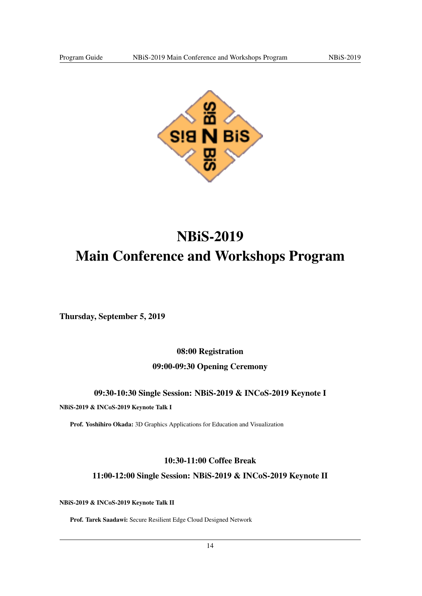

## <span id="page-14-0"></span>NBiS-2019 Main Conference and Workshops Program

<span id="page-14-1"></span>Thursday, September 5, 2019

<span id="page-14-2"></span>08:00 Registration

<span id="page-14-3"></span>09:00-09:30 Opening Ceremony

<span id="page-14-4"></span>09:30-10:30 Single Session: NBiS-2019 & INCoS-2019 Keynote I

NBiS-2019 & INCoS-2019 Keynote Talk I

Prof. Yoshihiro Okada: 3D Graphics Applications for Education and Visualization

## <span id="page-14-5"></span>10:30-11:00 Coffee Break

<span id="page-14-6"></span>11:00-12:00 Single Session: NBiS-2019 & INCoS-2019 Keynote II

NBiS-2019 & INCoS-2019 Keynote Talk II

Prof. Tarek Saadawi: Secure Resilient Edge Cloud Designed Network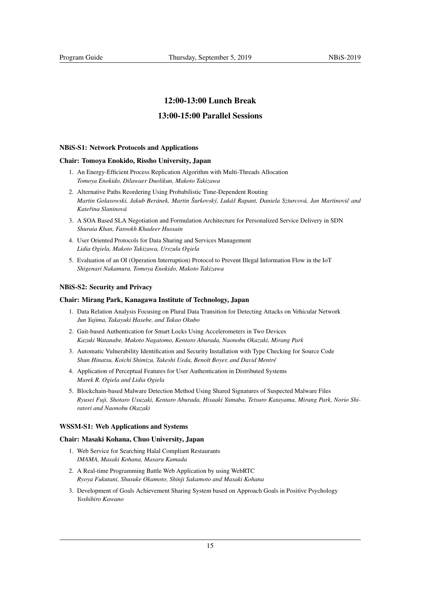## <span id="page-15-0"></span>12:00-13:00 Lunch Break

## <span id="page-15-1"></span>13:00-15:00 Parallel Sessions

#### <span id="page-15-2"></span>NBiS-S1: Network Protocols and Applications

#### Chair: Tomoya Enokido, Rissho University, Japan

- 1. An Energy-Efficient Process Replication Algorithm with Multi-Threads Allocation *Tomoya Enokido, Dilawaer Duolikun, Makoto Takizawa*
- 2. Alternative Paths Reordering Using Probabilistic Time-Dependent Routing *Martin Golasowski, Jakub Beránek, Martin Šurkovský, Lukáš Rapant, Daniela Szturcová, Jan Martinoviˇc and Kateˇrina Slaninová*
- 3. A SOA Based SLA Negotiation and Formulation Architecture for Personalized Service Delivery in SDN *Shuraia Khan, Farookh Khadeer Hussain*
- 4. User Oriented Protocols for Data Sharing and Services Management *Lidia Ogiela, Makoto Takizawa, Urszula Ogiela*
- 5. Evaluation of an OI (Operation Interruption) Protocol to Prevent Illegal Information Flow in the IoT *Shigenari Nakamura, Tomoya Enokido, Makoto Takizawa*

#### <span id="page-15-3"></span>NBiS-S2: Security and Privacy

#### Chair: Mirang Park, Kanagawa Institute of Technology, Japan

- 1. Data Relation Analysis Focusing on Plural Data Transition for Detecting Attacks on Vehicular Network *Jun Yajima, Takayuki Hasebe, and Takao Okubo*
- 2. Gait-based Authentication for Smart Locks Using Accelerometers in Two Devices *Kazuki Watanabe, Makoto Nagatomo, Kentaro Aburada, Naonobu Okazaki, Mirang Park*
- 3. Automatic Vulnerability Identification and Security Installation with Type Checking for Source Code *Shun Hinatsu, Koichi Shimizu, Takeshi Ueda, Benoît Boyer, and David Mentré*
- 4. Application of Perceptual Features for User Authentication in Distributed Systems *Marek R. Ogiela and Lidia Ogiela*
- 5. Blockchain-based Malware Detection Method Using Shared Signatures of Suspected Malware Files *Ryusei Fuji, Shotaro Usuzaki, Kentaro Aburada, Hisaaki Yamaba, Tetsuro Katayama, Mirang Park, Norio Shiratori and Naonobu Okazaki*

#### <span id="page-15-4"></span>WSSM-S1: Web Applications and Systems

#### Chair: Masaki Kohana, Chuo University, Japan

- 1. Web Service for Searching Halal Compliant Restaurants *IMAMA, Masaki Kohana, Masaru Kamada*
- 2. A Real-time Programming Battle Web Application by using WebRTC *Ryoya Fukutani, Shusuke Okamoto, Shinji Sakamoto and Masaki Kohana*
- 3. Development of Goals Achievement Sharing System based on Approach Goals in Positive Psychology *Yoshihiro Kawano*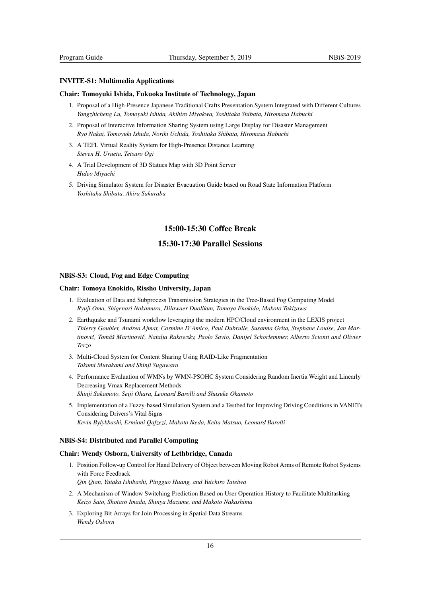#### <span id="page-16-0"></span>INVITE-S1: Multimedia Applications

#### Chair: Tomoyuki Ishida, Fukuoka Institute of Technology, Japan

- 1. Proposal of a High-Presence Japanese Traditional Crafts Presentation System Integrated with Different Cultures *Yangzhicheng Lu, Tomoyuki Ishida, Akihiro Miyakwa, Yoshitaka Shibata, Hiromasa Habuchi*
- 2. Proposal of Interactive Information Sharing System using Large Display for Disaster Management *Ryo Nakai, Tomoyuki Ishida, Noriki Uchida, Yoshitaka Shibata, Hiromasa Habuchi*
- 3. A TEFL Virtual Reality System for High-Presence Distance Learning *Steven H. Urueta, Tetsuro Ogi*
- 4. A Trial Development of 3D Statues Map with 3D Point Server *Hideo Miyachi*
- 5. Driving Simulator System for Disaster Evacuation Guide based on Road State Information Platform *Yoshitaka Shibata, Akira Sakuraba*

## <span id="page-16-1"></span>15:00-15:30 Coffee Break

## <span id="page-16-2"></span>15:30-17:30 Parallel Sessions

#### <span id="page-16-3"></span>NBiS-S3: Cloud, Fog and Edge Computing

#### Chair: Tomoya Enokido, Rissho University, Japan

- 1. Evaluation of Data and Subprocess Transmission Strategies in the Tree-Based Fog Computing Model *Ryuji Oma, Shigenari Nakamura, Dilawaer Duolikun, Tomoya Enokido, Makoto Takizawa*
- 2. Earthquake and Tsunami workflow leveraging the modern HPC/Cloud environment in the LEXIS project *Thierry Goubier, Andrea Ajmar, Carmine D'Amico, Paul Dubrulle, Susanna Grita, Stephane Louise, Jan Martinoviˇc, Tomáš Martinoviˇc, Natalja Rakowsky, Paolo Savio, Danijel Schorlemmer, Alberto Scionti and Olivier Terzo*
- 3. Multi-Cloud System for Content Sharing Using RAID-Like Fragmentation *Takumi Murakami and Shinji Sugawara*
- 4. Performance Evaluation of WMNs by WMN-PSOHC System Considering Random Inertia Weight and Linearly Decreasing Vmax Replacement Methods *Shinji Sakamoto, Seiji Ohara, Leonard Barolli and Shusuke Okamoto*
- 5. Implementation of a Fuzzy-based Simulation System and a Testbed for Improving Driving Conditions in VANETs Considering Drivers's Vital Signs *Kevin Bylykbashi, Ermioni Qafzezi, Makoto Ikeda, Keita Matsuo, Leonard Barolli*

#### <span id="page-16-4"></span>NBiS-S4: Distributed and Parallel Computing

#### Chair: Wendy Osborn, University of Lethbridge, Canada

- 1. Position Follow-up Control for Hand Delivery of Object between Moving Robot Arms of Remote Robot Systems with Force Feedback *Qin Qian, Yutaka Ishibashi, Pingguo Huang, and Yuichiro Tateiwa*
- 2. A Mechanism of Window Switching Prediction Based on User Operation History to Facilitate Multitasking *Keizo Sato, Shotaro Imada, Shinya Mazume, and Makoto Nakashima*
- 3. Exploring Bit Arrays for Join Processing in Spatial Data Streams *Wendy Osborn*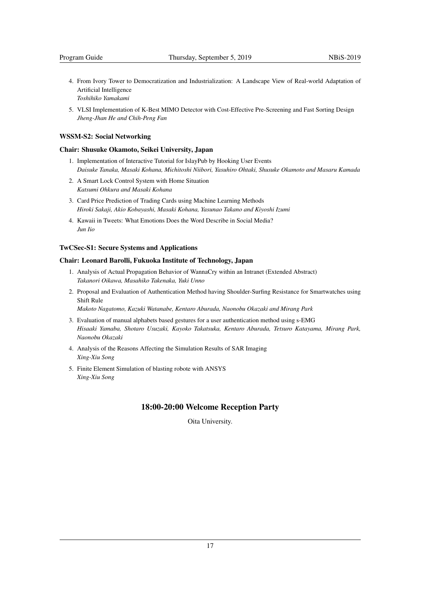- 4. From Ivory Tower to Democratization and Industrialization: A Landscape View of Real-world Adaptation of Artificial Intelligence *Toshihiko Yamakami*
- 5. VLSI Implementation of K-Best MIMO Detector with Cost-Effective Pre-Screening and Fast Sorting Design *Jheng-Jhan He and Chih-Peng Fan*

#### <span id="page-17-0"></span>WSSM-S2: Social Networking

#### Chair: Shusuke Okamoto, Seikei University, Japan

- 1. Implementation of Interactive Tutorial for IslayPub by Hooking User Events *Daisuke Tanaka, Masaki Kohana, Michitoshi Niibori, Yasuhiro Ohtaki, Shusuke Okamoto and Masaru Kamada*
- 2. A Smart Lock Control System with Home Situation *Katsumi Ohkura and Masaki Kohana*
- 3. Card Price Prediction of Trading Cards using Machine Learning Methods *Hiroki Sakaji, Akio Kobayashi, Masaki Kohana, Yasunao Takano and Kiyoshi Izumi*
- 4. Kawaii in Tweets: What Emotions Does the Word Describe in Social Media? *Jun Iio*

#### <span id="page-17-1"></span>TwCSec-S1: Secure Systems and Applications

## Chair: Leonard Barolli, Fukuoka Institute of Technology, Japan

- 1. Analysis of Actual Propagation Behavior of WannaCry within an Intranet (Extended Abstract) *Takanori Oikawa, Masahiko Takenaka, Yuki Unno*
- 2. Proposal and Evaluation of Authentication Method having Shoulder-Surfing Resistance for Smartwatches using Shift Rule

*Makoto Nagatomo, Kazuki Watanabe, Kentaro Aburada, Naonobu Okazaki and Mirang Park*

- 3. Evaluation of manual alphabets based gestures for a user authentication method using s-EMG *Hisaaki Yamaba, Shotaro Usuzaki, Kayoko Takatsuka, Kentaro Aburada, Tetsuro Katayama, Mirang Park, Naonobu Okazaki*
- 4. Analysis of the Reasons Affecting the Simulation Results of SAR Imaging *Xing-Xiu Song*
- 5. Finite Element Simulation of blasting robote with ANSYS *Xing-Xiu Song*

## <span id="page-17-2"></span>18:00-20:00 Welcome Reception Party

Oita University.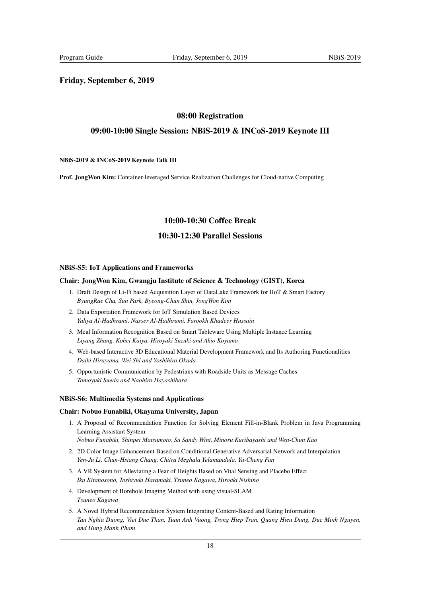## <span id="page-18-0"></span>Friday, September 6, 2019

## <span id="page-18-1"></span>08:00 Registration

## <span id="page-18-2"></span>09:00-10:00 Single Session: NBiS-2019 & INCoS-2019 Keynote III

#### NBiS-2019 & INCoS-2019 Keynote Talk III

Prof. JongWon Kim: Container-leveraged Service Realization Challenges for Cloud-native Computing

## 10:00-10:30 Coffee Break

## 10:30-12:30 Parallel Sessions

#### <span id="page-18-3"></span>NBiS-S5: IoT Applications and Frameworks

#### Chair: JongWon Kim, Gwangju Institute of Science & Technology (GIST), Korea

- 1. Draft Design of Li-Fi based Acquisition Layer of DataLake Framework for IIoT & Smart Factory *ByungRae Cha, Sun Park, Byeong-Chun Shin, JongWon Kim*
- 2. Data Exportation Framework for IoT Simulation Based Devices *Yahya Al-Hadhrami, Nasser Al-Hadhrami, Farookh Khadeer Hussain*
- 3. Meal Information Recognition Based on Smart Tableware Using Multiple Instance Learning *Liyang Zhang, Kohei Kaiya, Hiroyuki Suzuki and Akio Koyama*
- 4. Web-based Interactive 3D Educational Material Development Framework and Its Authoring Functionalities *Daiki Hirayama, Wei Shi and Yoshihiro Okada*
- 5. Opportunistic Communication by Pedestrians with Roadside Units as Message Caches *Tomoyuki Sueda and Naohiro Hayashibara*

#### NBiS-S6: Multimedia Systems and Applications

#### Chair: Nobuo Funabiki, Okayama University, Japan

- 1. A Proposal of Recommendation Function for Solving Element Fill-in-Blank Problem in Java Programming Learning Assistant System *Nobuo Funabiki, Shinpei Matsumoto, Su Sandy Wint, Minoru Kuribayashi and Wen-Chun Kao*
- 2. 2D Color Image Enhancement Based on Conditional Generative Adversarial Network and Interpolation *Yen-Ju Li, Chun-Hsiang Chang, Chitra Meghala Yelamandala, Yu-Cheng Fan*
- 3. A VR System for Alleviating a Fear of Heights Based on Vital Sensing and Placebo Effect *Iku Kitanosono, Toshiyuki Haramaki, Tsuneo Kagawa, Hiroaki Nishino*
- 4. Development of Borehole Imaging Method with using visual-SLAM *Tsuneo Kagawa*
- 5. A Novel Hybrid Recommendation System Integrating Content-Based and Rating Information *Tan Nghia Duong, Viet Duc Than, Tuan Anh Vuong, Trong Hiep Tran, Quang Hieu Dang, Duc Minh Nguyen, and Hung Manh Pham*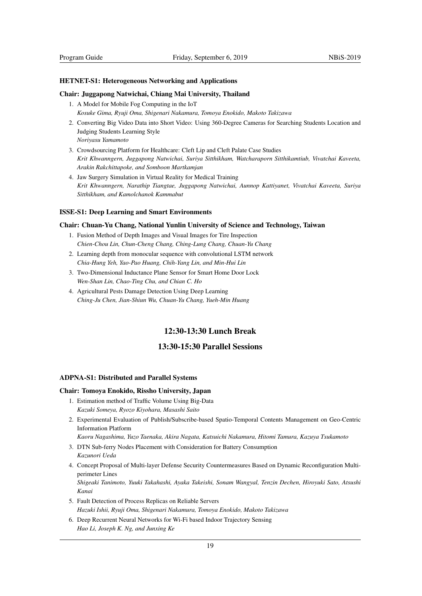#### <span id="page-19-0"></span>HETNET-S1: Heterogeneous Networking and Applications

#### Chair: Juggapong Natwichai, Chiang Mai University, Thailand

- 1. A Model for Mobile Fog Computing in the IoT *Kosuke Gima, Ryuji Oma, Shigenari Nakamura, Tomoya Enokido, Makoto Takizawa*
- 2. Converting Big Video Data into Short Video: Using 360-Degree Cameras for Searching Students Location and Judging Students Learning Style *Noriyasu Yamamoto*
- 3. Crowdsourcing Platform for Healthcare: Cleft Lip and Cleft Palate Case Studies *Krit Khwanngern, Juggapong Natwichai, Suriya Sitthikham, Watcharaporn Sitthikamtiub, Vivatchai Kaveeta, Arakin Rakchittapoke, and Somboon Martkamjan*
- 4. Jaw Surgery Simulation in Virtual Reality for Medical Training *Krit Khwanngern, Narathip Tiangtae, Juggapong Natwichai, Aunnop Kattiyanet, Vivatchai Kaveeta, Suriya Sitthikham, and Kamolchanok Kammabut*

#### <span id="page-19-1"></span>ISSE-S1: Deep Learning and Smart Environments

#### Chair: Chuan-Yu Chang, National Yunlin University of Science and Technology, Taiwan

- 1. Fusion Method of Depth Images and Visual Images for Tire Inspection *Chien-Chou Lin, Chun-Cheng Chang, Ching-Lung Chang, Chuan-Yu Chang*
- 2. Learning depth from monocular sequence with convolutional LSTM network *Chia-Hung Yeh, Yao-Pao Huang, Chih-Yang Lin, and Min-Hui Lin*
- 3. Two-Dimensional Inductance Plane Sensor for Smart Home Door Lock *Wen-Shan Lin, Chao-Ting Chu, and Chian C. Ho*
- 4. Agricultural Pests Damage Detection Using Deep Learning *Ching-Ju Chen, Jian-Shiun Wu, Chuan-Yu Chang, Yueh-Min Huang*

## <span id="page-19-2"></span>12:30-13:30 Lunch Break

## <span id="page-19-3"></span>13:30-15:30 Parallel Sessions

### <span id="page-19-4"></span>ADPNA-S1: Distributed and Parallel Systems

#### Chair: Tomoya Enokido, Rissho University, Japan

- 1. Estimation method of Traffic Volume Using Big-Data *Kazuki Someya, Ryozo Kiyohara, Masashi Saito*
- 2. Experimental Evaluation of Publish/Subscribe-based Spatio-Temporal Contents Management on Geo-Centric Information Platform

*Kaoru Nagashima, Yuzo Taenaka, Akira Nagata, Katsuichi Nakamura, Hitomi Tamura, Kazuya Tsukamoto*

- 3. DTN Sub-ferry Nodes Placement with Consideration for Battery Consumption *Kazunori Ueda*
- 4. Concept Proposal of Multi-layer Defense Security Countermeasures Based on Dynamic Reconfiguration Multiperimeter Lines

*Shigeaki Tanimoto, Yuuki Takahashi, Ayaka Takeishi, Sonam Wangyal, Tenzin Dechen, Hiroyuki Sato, Atsushi Kanai*

- 5. Fault Detection of Process Replicas on Reliable Servers *Hazuki Ishii, Ryuji Oma, Shigenari Nakamura, Tomoya Enokido, Makoto Takizawa*
- 6. Deep Recurrent Neural Networks for Wi-Fi based Indoor Trajectory Sensing *Hao Li, Joseph K. Ng, and Junxing Ke*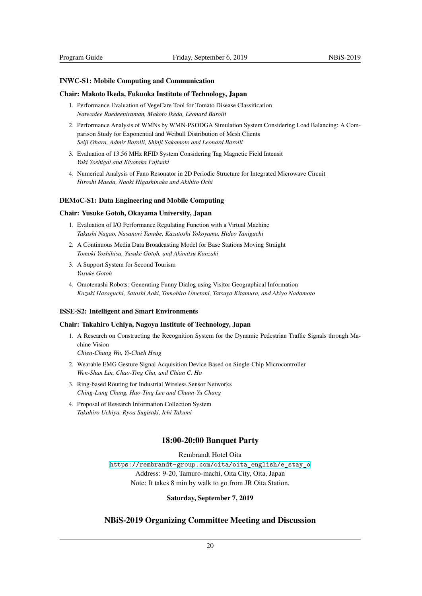#### INWC-S1: Mobile Computing and Communication

#### Chair: Makoto Ikeda, Fukuoka Institute of Technology, Japan

- <span id="page-20-0"></span>1. Performance Evaluation of VegeCare Tool for Tomato Disease Classification *Natwadee Ruedeeniraman, Makoto Ikeda, Leonard Barolli*
- 2. Performance Analysis of WMNs by WMN-PSODGA Simulation System Considering Load Balancing: A Comparison Study for Exponential and Weibull Distribution of Mesh Clients *Seiji Ohara, Admir Barolli, Shinji Sakamoto and Leonard Barolli*
- 3. Evaluation of 13.56 MHz RFID System Considering Tag Magnetic Field Intensit *Yuki Yoshigai and Kiyotaka Fujisaki*
- 4. Numerical Analysis of Fano Resonator in 2D Periodic Structure for Integrated Microwave Circuit *Hiroshi Maeda, Naoki Higashinaka and Akihito Ochi*

#### DEMoC-S1: Data Engineering and Mobile Computing

#### Chair: Yusuke Gotoh, Okayama University, Japan

- <span id="page-20-1"></span>1. Evaluation of I/O Performance Regulating Function with a Virtual Machine *Takashi Nagao, Nasanori Tanabe, Kazutoshi Yokoyama, Hideo Taniguchi*
- 2. A Continuous Media Data Broadcasting Model for Base Stations Moving Straight *Tomoki Yoshihisa, Yusuke Gotoh, and Akimitsu Kanzaki*
- 3. A Support System for Second Tourism *Yusuke Gotoh*
- 4. Omotenashi Robots: Generating Funny Dialog using Visitor Geographical Information *Kazuki Haraguchi, Satoshi Aoki, Tomohiro Umetani, Tatsuya Kitamura, and Akiyo Nadamoto*

#### ISSE-S2: Intelligent and Smart Environments

#### Chair: Takahiro Uchiya, Nagoya Institute of Technology, Japan

<span id="page-20-2"></span>1. A Research on Constructing the Recognition System for the Dynamic Pedestrian Traffic Signals through Machine Vision

*Chien-Chung Wu, Yi-Chieh Hsug*

- 2. Wearable EMG Gesture Signal Acquisition Device Based on Single-Chip Microcontroller *Wen-Shan Lin, Chao-Ting Chu, and Chian C. Ho*
- 3. Ring-based Routing for Industrial Wireless Sensor Networks *Ching-Lung Chang, Hao-Ting Lee and Chuan-Yu Chang*
- 4. Proposal of Research Information Collection System *Takahiro Uchiya, Ryoa Sugisaki, Ichi Takumi*

## 18:00-20:00 Banquet Party

Rembrandt Hotel Oita https://rembrandt-group.com/oita/oita\_english/e\_stay\_o Address: 9-20, Tamuro-machi, Oita City, Oita, Japan Note: It takes 8 min by walk to go from JR Oita Station.

#### <span id="page-20-3"></span>[Saturday, September 7, 2019](https://rembrandt-group.com/oita/oita_english/e_stay_o)

## <span id="page-20-4"></span>NBiS-2019 Organizing Committee Meeting and Discussion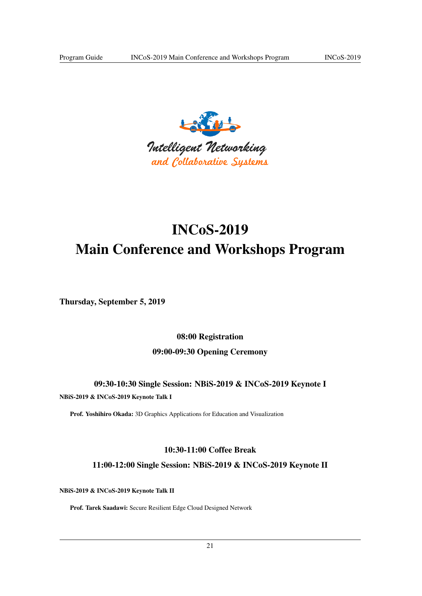

## <span id="page-21-0"></span>INCoS-2019 Main Conference and Workshops Program

<span id="page-21-1"></span>Thursday, September 5, 2019

<span id="page-21-3"></span><span id="page-21-2"></span>08:00 Registration 09:00-09:30 Opening Ceremony

<span id="page-21-4"></span>09:30-10:30 Single Session: NBiS-2019 & INCoS-2019 Keynote I NBiS-2019 & INCoS-2019 Keynote Talk I

Prof. Yoshihiro Okada: 3D Graphics Applications for Education and Visualization

## <span id="page-21-5"></span>10:30-11:00 Coffee Break

<span id="page-21-6"></span>11:00-12:00 Single Session: NBiS-2019 & INCoS-2019 Keynote II

NBiS-2019 & INCoS-2019 Keynote Talk II

Prof. Tarek Saadawi: Secure Resilient Edge Cloud Designed Network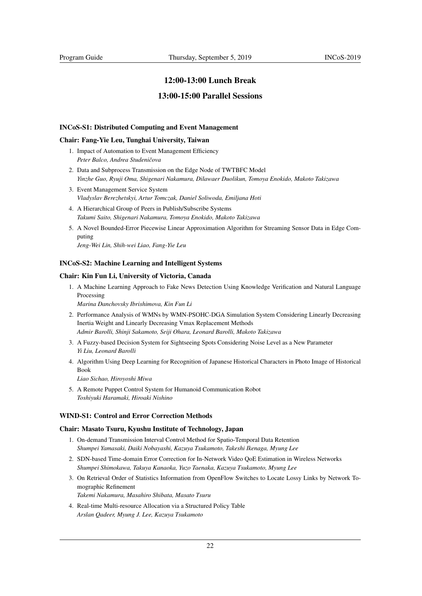## <span id="page-22-0"></span>12:00-13:00 Lunch Break

## <span id="page-22-1"></span>13:00-15:00 Parallel Sessions

### <span id="page-22-2"></span>INCoS-S1: Distributed Computing and Event Management

#### Chair: Fang-Yie Leu, Tunghai University, Taiwan

- 1. Impact of Automation to Event Management Efficiency *Peter Balco, Andrea Studeniˇcova*
- 2. Data and Subprocess Transmission on the Edge Node of TWTBFC Model *Yinzhe Guo, Ryuji Oma, Shigenari Nakamura, Dilawaer Duolikun, Tomoya Enokido, Makoto Takizawa*
- 3. Event Management Service System *Vladyslav Berezhetskyi, Artur Tomczak, Daniel Soliwoda, Emiljana Hoti*
- 4. A Hierarchical Group of Peers in Publish/Subscribe Systems *Takumi Saito, Shigenari Nakamura, Tomoya Enokido, Makoto Takizawa*
- 5. A Novel Bounded-Error Piecewise Linear Approximation Algorithm for Streaming Sensor Data in Edge Computing

*Jeng-Wei Lin, Shih-wei Liao, Fang-Yie Leu*

## <span id="page-22-3"></span>INCoS-S2: Machine Learning and Intelligent Systems

#### Chair: Kin Fun Li, University of Victoria, Canada

1. A Machine Learning Approach to Fake News Detection Using Knowledge Verification and Natural Language Processing

*Marina Danchovsky Ibrishimova, Kin Fun Li*

- 2. Performance Analysis of WMNs by WMN-PSOHC-DGA Simulation System Considering Linearly Decreasing Inertia Weight and Linearly Decreasing Vmax Replacement Methods *Admir Barolli, Shinji Sakamoto, Seiji Ohara, Leonard Barolli, Makoto Takizawa*
- 3. A Fuzzy-based Decision System for Sightseeing Spots Considering Noise Level as a New Parameter *Yi Liu, Leonard Barolli*
- 4. Algorithm Using Deep Learning for Recognition of Japanese Historical Characters in Photo Image of Historical Book

*Liao Sichao, Hiroyoshi Miwa*

5. A Remote Puppet Control System for Humanoid Communication Robot *Toshiyuki Haramaki, Hiroaki Nishino*

## <span id="page-22-4"></span>WIND-S1: Control and Error Correction Methods

#### Chair: Masato Tsuru, Kyushu Institute of Technology, Japan

- 1. On-demand Transmission Interval Control Method for Spatio-Temporal Data Retention *Shumpei Yamasaki, Daiki Nobayashi, Kazuya Tsukamoto, Takeshi Ikenaga, Myung Lee*
- 2. SDN-based Time-domain Error Correction for In-Network Video QoE Estimation in Wireless Networks *Shumpei Shimokawa, Takuya Kanaoka, Yuzo Taenaka, Kazuya Tsukamoto, Myung Lee*
- 3. On Retrieval Order of Statistics Information from OpenFlow Switches to Locate Lossy Links by Network Tomographic Refinement *Takemi Nakamura, Masahiro Shibata, Masato Tsuru*
- 4. Real-time Multi-resource Allocation via a Structured Policy Table *Arslan Qadeer, Myung J. Lee, Kazuya Tsukamoto*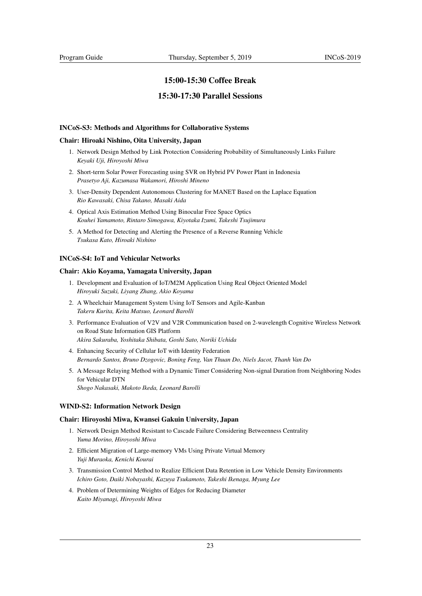## <span id="page-23-0"></span>15:00-15:30 Coffee Break

### <span id="page-23-1"></span>15:30-17:30 Parallel Sessions

### <span id="page-23-2"></span>INCoS-S3: Methods and Algorithms for Collaborative Systems

#### Chair: Hiroaki Nishino, Oita University, Japan

- 1. Network Design Method by Link Protection Considering Probability of Simultaneously Links Failure *Keyaki Uji, Hiroyoshi Miwa*
- 2. Short-term Solar Power Forecasting using SVR on Hybrid PV Power Plant in Indonesia *Prasetyo Aji, Kazumasa Wakamori, Hiroshi Mineno*
- 3. User-Density Dependent Autonomous Clustering for MANET Based on the Laplace Equation *Rio Kawasaki, Chisa Takano, Masaki Aida*
- 4. Optical Axis Estimation Method Using Binocular Free Space Optics *Kouhei Yamamoto, Rintaro Simogawa, Kiyotaka Izumi, Takeshi Tsujimura*
- 5. A Method for Detecting and Alerting the Presence of a Reverse Running Vehicle *Tsukasa Kato, Hiroaki Nishino*

#### <span id="page-23-3"></span>INCoS-S4: IoT and Vehicular Networks

#### Chair: Akio Koyama, Yamagata University, Japan

- 1. Development and Evaluation of IoT/M2M Application Using Real Object Oriented Model *Hiroyuki Suzuki, Liyang Zhang, Akio Koyama*
- 2. A Wheelchair Management System Using IoT Sensors and Agile-Kanban *Takeru Kurita, Keita Matsuo, Leonard Barolli*
- 3. Performance Evaluation of V2V and V2R Communication based on 2-wavelength Cognitive Wireless Network on Road State Information GIS Platform *Akira Sakuraba, Yoshitaka Shibata, Goshi Sato, Noriki Uchida*
- 4. Enhancing Security of Cellular IoT with Identity Federation *Bernardo Santos, Bruno Dzogovic, Boning Feng, Van Thuan Do, Niels Jacot, Thanh Van Do*
- 5. A Message Relaying Method with a Dynamic Timer Considering Non-signal Duration from Neighboring Nodes for Vehicular DTN *Shogo Nakasaki, Makoto Ikeda, Leonard Barolli*

#### <span id="page-23-4"></span>WIND-S2: Information Network Design

#### Chair: Hiroyoshi Miwa, Kwansei Gakuin University, Japan

- 1. Network Design Method Resistant to Cascade Failure Considering Betweenness Centrality *Yuma Morino, Hiroyoshi Miwa*
- 2. Efficient Migration of Large-memory VMs Using Private Virtual Memory *Yuji Muraoka, Kenichi Kourai*
- 3. Transmission Control Method to Realize Efficient Data Retention in Low Vehicle Density Environments *Ichiro Goto, Daiki Nobayashi, Kazuya Tsukamoto, Takeshi Ikenaga, Myung Lee*
- 4. Problem of Determining Weights of Edges for Reducing Diameter *Kaito Miyanagi, Hiroyoshi Miwa*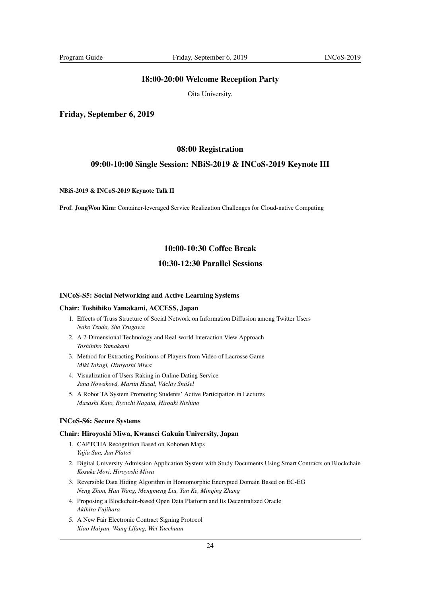## <span id="page-24-0"></span>18:00-20:00 Welcome Reception Party

Oita University.

<span id="page-24-1"></span>Friday, September 6, 2019

#### <span id="page-24-2"></span>08:00 Registration

## <span id="page-24-3"></span>09:00-10:00 Single Session: NBiS-2019 & INCoS-2019 Keynote III

### NBiS-2019 & INCoS-2019 Keynote Talk II

Prof. JongWon Kim: Container-leveraged Service Realization Challenges for Cloud-native Computing

## <span id="page-24-4"></span>10:00-10:30 Coffee Break

## <span id="page-24-5"></span>10:30-12:30 Parallel Sessions

#### <span id="page-24-6"></span>INCoS-S5: Social Networking and Active Learning Systems

#### Chair: Toshihiko Yamakami, ACCESS, Japan

- 1. Effects of Truss Structure of Social Network on Information Diffusion among Twitter Users *Nako Tsuda, Sho Tsugawa*
- 2. A 2-Dimensional Technology and Real-world Interaction View Approach *Toshihiko Yamakami*
- 3. Method for Extracting Positions of Players from Video of Lacrosse Game *Miki Takagi, Hiroyoshi Miwa*
- 4. Visualization of Users Raking in Online Dating Service *Jana Nowaková, Martin Hasal, Václav Snášel*
- 5. A Robot TA System Promoting Students' Active Participation in Lectures *Masashi Kato, Ryoichi Nagata, Hiroaki Nishino*

### <span id="page-24-7"></span>INCoS-S6: Secure Systems

#### Chair: Hiroyoshi Miwa, Kwansei Gakuin University, Japan

- 1. CAPTCHA Recognition Based on Kohonen Maps *Yujia Sun, Jan Platoš*
- 2. Digital University Admission Application System with Study Documents Using Smart Contracts on Blockchain *Kosuke Mori, Hiroyoshi Miwa*
- 3. Reversible Data Hiding Algorithm in Homomorphic Encrypted Domain Based on EC-EG *Neng Zhou, Han Wang, Mengmeng Liu, Yan Ke, Minqing Zhang*
- 4. Proposing a Blockchain-based Open Data Platform and Its Decentralized Oracle *Akihiro Fujihara*
- 5. A New Fair Electronic Contract Signing Protocol *Xiao Haiyan, Wang Lifang, Wei Yuechuan*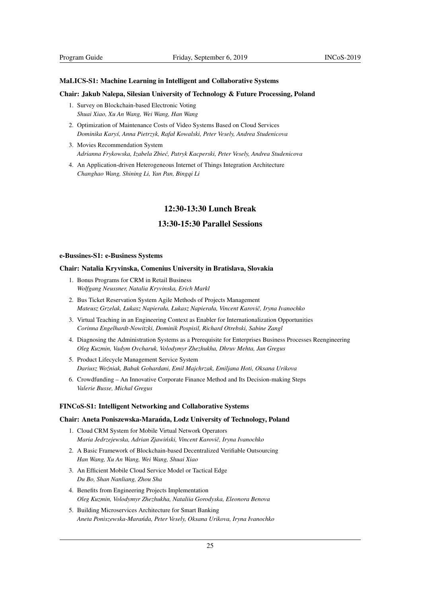#### <span id="page-25-0"></span>MaLICS-S1: Machine Learning in Intelligent and Collaborative Systems

#### Chair: Jakub Nalepa, Silesian University of Technology & Future Processing, Poland

- 1. Survey on Blockchain-based Electronic Voting *Shuai Xiao, Xu An Wang, Wei Wang, Han Wang*
- 2. Optimization of Maintenance Costs of Video Systems Based on Cloud Services *Dominika Karys, Anna Pietrzyk, Rafał Kowalski, Peter Vesely, Andrea Studenicova ´*
- 3. Movies Recommendation System *Adrianna Frykowska, Izabela Zbie´c, Patryk Kacperski, Peter Vesely, Andrea Studenicova*
- 4. An Application-driven Heterogeneous Internet of Things Integration Architecture *Changhao Wang, Shining Li, Yan Pan, Bingqi Li*

## <span id="page-25-1"></span>12:30-13:30 Lunch Break

## <span id="page-25-2"></span>13:30-15:30 Parallel Sessions

#### <span id="page-25-3"></span>e-Bussines-S1: e-Business Systems

#### Chair: Natalia Kryvinska, Comenius University in Bratislava, Slovakia

- 1. Bonus Programs for CRM in Retail Business *Wolfgang Neussner, Natalia Kryvinska, Erich Markl*
- 2. Bus Ticket Reservation System Agile Methods of Projects Management *Mateusz Grzelak, Łukasz Napierała, Łukasz Napierała, Vincent Karoviˇc, Iryna Ivanochko*
- 3. Virtual Teaching in an Engineering Context as Enabler for Internationalization Opportunities *Corinna Engelhardt-Nowitzki, Dominik Pospisil, Richard Otrebski, Sabine Zangl*
- 4. Diagnosing the Administration Systems as a Prerequisite for Enterprises Business Processes Reengineering *Oleg Kuzmin, Vadym Ovcharuk, Volodymyr Zhezhukha, Dhruv Mehta, Jan Gregus*
- 5. Product Lifecycle Management Service System *Dariusz Wo´zniak, Babak Gohardani, Emil Majchrzak, Emiljana Hoti, Oksana Urikova*
- 6. Crowdfunding An Innovative Corporate Finance Method and Its Decision-making Steps *Valerie Busse, Michal Gregus*

### <span id="page-25-4"></span>FINCoS-S1: Intelligent Networking and Collaborative Systems

#### Chair: Aneta Poniszewska-Maranda, Lodz University of Technology, Poland ´

- 1. Cloud CRM System for Mobile Virtual Network Operators *Maria Jedrzejewska, Adrian Zjawi ´nski, Vincent Karoviˇc, Iryna Ivanochko*
- 2. A Basic Framework of Blockchain-based Decentralized Verifiable Outsourcing *Han Wang, Xu An Wang, Wei Wang, Shuai Xiao*
- 3. An Efficient Mobile Cloud Service Model or Tactical Edge *Du Bo, Shan Nanliang, Zhou Sha*
- 4. Benefits from Engineering Projects Implementation *Oleg Kuzmin, Volodymyr Zhezhukha, Nataliia Gorodyska, Eleonora Benova*
- 5. Building Microservices Architecture for Smart Banking *Aneta Poniszewska-Mara´nda, Peter Vesely, Oksana Urikova, Iryna Ivanochko*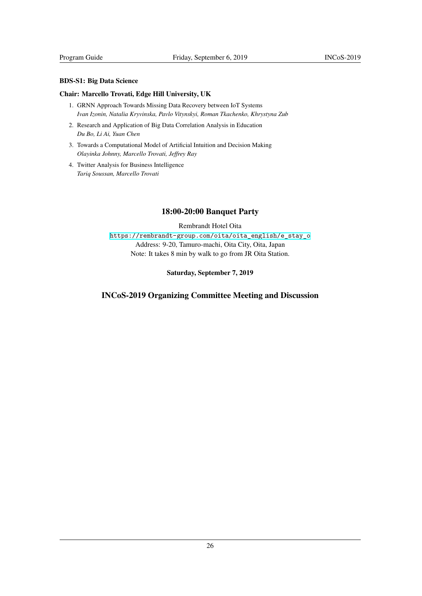## BDS-S1: Big Data Science

## Chair: Marcello Trovati, Edge Hill University, UK

- <span id="page-26-0"></span>1. GRNN Approach Towards Missing Data Recovery between IoT Systems *Ivan Izonin, Natalia Kryvinska, Pavlo Vitynskyi, Roman Tkachenko, Khrystyna Zub*
- 2. Research and Application of Big Data Correlation Analysis in Education *Du Bo, Li Ai, Yuan Chen*
- 3. Towards a Computational Model of Artificial Intuition and Decision Making *Olayinka Johnny, Marcello Trovati, Jeffrey Ray*
- 4. Twitter Analysis for Business Intelligence *Tariq Soussan, Marcello Trovati*

## 18:00-20:00 Banquet Party

Rembrandt Hotel Oita https://rembrandt-group.com/oita/oita\_english/e\_stay\_o Address: 9-20, Tamuro-machi, Oita City, Oita, Japan Note: It takes 8 min by walk to go from JR Oita Station.

## [Saturday, September 7, 2019](https://rembrandt-group.com/oita/oita_english/e_stay_o)

## INCoS-2019 Organizing Committee Meeting and Discussion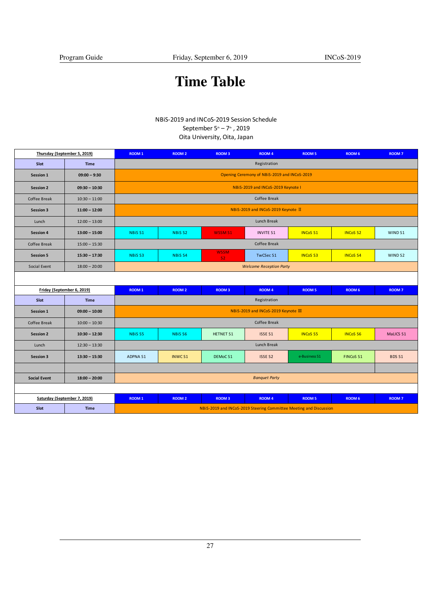## Time Table

## NBiS-2019 and INCoS-2019 Session Schedule

## September 5<sup>th</sup> – 7<sup>th</sup>, 2019

Oita University, Oita, Japan

| Thursday (September 5, 2019) |                 | ROOM 1                                                             | <b>ROOM 2</b>      | <b>ROOM 3</b>       | ROOM 4               | <b>ROOM 5</b>   | ROOM 6           | <b>ROOM7</b>       |  |  |
|------------------------------|-----------------|--------------------------------------------------------------------|--------------------|---------------------|----------------------|-----------------|------------------|--------------------|--|--|
| Slot                         | <b>Time</b>     | Registration                                                       |                    |                     |                      |                 |                  |                    |  |  |
| Session 1                    | $09:00 - 9:30$  | Opening Ceremony of NBiS-2019 and INCoS-2019                       |                    |                     |                      |                 |                  |                    |  |  |
| <b>Session 2</b>             | $09:30 - 10:30$ | NBiS-2019 and INCoS-2019 Keynote I                                 |                    |                     |                      |                 |                  |                    |  |  |
| Coffee Break                 | $10:30 - 11:00$ | Coffee Break                                                       |                    |                     |                      |                 |                  |                    |  |  |
| <b>Session 3</b>             | $11:00 - 12:00$ | NBiS-2019 and INCoS-2019 Keynote II                                |                    |                     |                      |                 |                  |                    |  |  |
| Lunch                        | $12:00 - 13:00$ | Lunch Break                                                        |                    |                     |                      |                 |                  |                    |  |  |
| Session 4                    | $13:00 - 15:00$ | NBiS <sub>S1</sub>                                                 | <b>NBiSS2</b>      | <b>WSSM S1</b>      | <b>INVITE S1</b>     | <b>INCoS S1</b> | <b>INCoS S2</b>  | WIND S1            |  |  |
| Coffee Break                 | $15:00 - 15:30$ | Coffee Break                                                       |                    |                     |                      |                 |                  |                    |  |  |
| <b>Session 5</b>             | $15:30 - 17:30$ | NBiS <sub>S3</sub>                                                 | <b>NBiS S4</b>     | <b>WSSM</b><br>S2   | TwCSec <sub>S1</sub> | <b>INCoS S3</b> | <b>INCoS S4</b>  | WIND <sub>S2</sub> |  |  |
| Social Event                 | $18:00 - 20:00$ | <b>Welcome Reception Party</b>                                     |                    |                     |                      |                 |                  |                    |  |  |
|                              |                 |                                                                    |                    |                     |                      |                 |                  |                    |  |  |
| Friday (September 6, 2019)   |                 | ROOM 1                                                             | <b>ROOM 2</b>      | <b>ROOM 3</b>       | ROOM 4               | <b>ROOM 5</b>   | ROOM 6           | ROOM <sub>7</sub>  |  |  |
| Slot                         | <b>Time</b>     | Registration                                                       |                    |                     |                      |                 |                  |                    |  |  |
| Session 1                    | $09:00 - 10:00$ | NBiS-2019 and INCoS-2019 Keynote III                               |                    |                     |                      |                 |                  |                    |  |  |
| Coffee Break                 | $10:00 - 10:30$ | Coffee Break                                                       |                    |                     |                      |                 |                  |                    |  |  |
| <b>Session 2</b>             | $10:30 - 12:30$ | NBiS <sub>S5</sub>                                                 | NBiS <sub>S6</sub> | <b>HETNET S1</b>    | ISSE <sub>S1</sub>   | <b>INCoS S5</b> | <b>INCoS S6</b>  | MaLICS S1          |  |  |
| Lunch                        | $12:30 - 13:30$ | Lunch Break                                                        |                    |                     |                      |                 |                  |                    |  |  |
| <b>Session 3</b>             | $13:30 - 15:30$ | ADPNA S1                                                           | INWC S1            | DEMoC <sub>S1</sub> | <b>ISSE S2</b>       | e-Business S1   | <b>FINCoS S1</b> | BDS S1             |  |  |
|                              |                 |                                                                    |                    |                     |                      |                 |                  |                    |  |  |
| <b>Social Event</b>          | $18:00 - 20:00$ | <b>Banquet Party</b>                                               |                    |                     |                      |                 |                  |                    |  |  |
|                              |                 |                                                                    |                    |                     |                      |                 |                  |                    |  |  |
| Saturday (September 7, 2019) |                 | <b>ROOM 1</b>                                                      | <b>ROOM 2</b>      | <b>ROOM 3</b>       | ROOM 4               | <b>ROOM 5</b>   | ROOM 6           | <b>ROOM 7</b>      |  |  |
| Slot                         | <b>Time</b>     | NBIS-2019 and INCoS-2019 Steering Committee Meeting and Discussion |                    |                     |                      |                 |                  |                    |  |  |